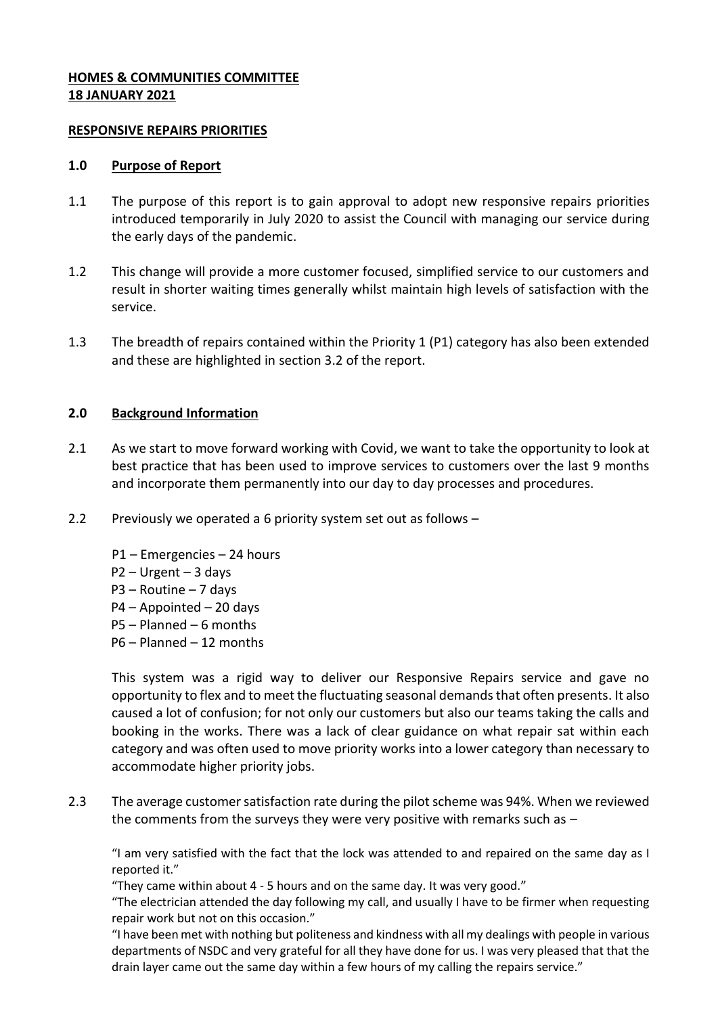## **HOMES & COMMUNITIES COMMITTEE 18 JANUARY 2021**

### **RESPONSIVE REPAIRS PRIORITIES**

#### **1.0 Purpose of Report**

- 1.1 The purpose of this report is to gain approval to adopt new responsive repairs priorities introduced temporarily in July 2020 to assist the Council with managing our service during the early days of the pandemic.
- 1.2 This change will provide a more customer focused, simplified service to our customers and result in shorter waiting times generally whilst maintain high levels of satisfaction with the service.
- 1.3 The breadth of repairs contained within the Priority 1 (P1) category has also been extended and these are highlighted in section 3.2 of the report.

# **2.0 Background Information**

- 2.1 As we start to move forward working with Covid, we want to take the opportunity to look at best practice that has been used to improve services to customers over the last 9 months and incorporate them permanently into our day to day processes and procedures.
- 2.2 Previously we operated a 6 priority system set out as follows
	- P1 Emergencies 24 hours
	- P2 Urgent 3 days
	- P3 Routine 7 days
	- P4 Appointed 20 days
	- P5 Planned 6 months
	- P6 Planned 12 months

This system was a rigid way to deliver our Responsive Repairs service and gave no opportunity to flex and to meet the fluctuating seasonal demands that often presents. It also caused a lot of confusion; for not only our customers but also our teams taking the calls and booking in the works. There was a lack of clear guidance on what repair sat within each category and was often used to move priority works into a lower category than necessary to accommodate higher priority jobs.

2.3 The average customer satisfaction rate during the pilot scheme was 94%. When we reviewed the comments from the surveys they were very positive with remarks such as –

"I am very satisfied with the fact that the lock was attended to and repaired on the same day as I reported it."

"They came within about 4 - 5 hours and on the same day. It was very good."

"The electrician attended the day following my call, and usually I have to be firmer when requesting repair work but not on this occasion."

"I have been met with nothing but politeness and kindness with all my dealings with people in various departments of NSDC and very grateful for all they have done for us. I was very pleased that that the drain layer came out the same day within a few hours of my calling the repairs service."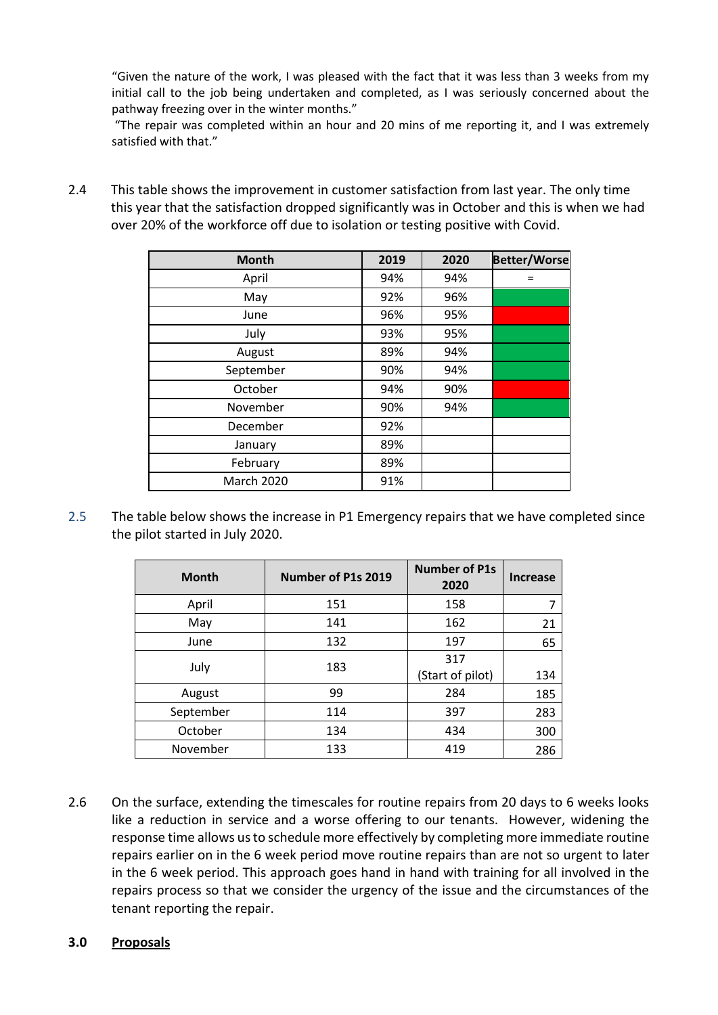"Given the nature of the work, I was pleased with the fact that it was less than 3 weeks from my initial call to the job being undertaken and completed, as I was seriously concerned about the pathway freezing over in the winter months."

"The repair was completed within an hour and 20 mins of me reporting it, and I was extremely satisfied with that."

2.4 This table shows the improvement in customer satisfaction from last year. The only time this year that the satisfaction dropped significantly was in October and this is when we had over 20% of the workforce off due to isolation or testing positive with Covid.

| <b>Month</b> | 2019 | 2020 | <b>Better/Worse</b> |
|--------------|------|------|---------------------|
| April        | 94%  | 94%  |                     |
| May          | 92%  | 96%  |                     |
| June         | 96%  | 95%  |                     |
| July         | 93%  | 95%  |                     |
| August       | 89%  | 94%  |                     |
| September    | 90%  | 94%  |                     |
| October      | 94%  | 90%  |                     |
| November     | 90%  | 94%  |                     |
| December     | 92%  |      |                     |
| January      | 89%  |      |                     |
| February     | 89%  |      |                     |
| March 2020   | 91%  |      |                     |

2.5 The table below shows the increase in P1 Emergency repairs that we have completed since the pilot started in July 2020.

| <b>Month</b> | Number of P1s 2019 | <b>Number of P1s</b><br>2020 | <b>Increase</b> |
|--------------|--------------------|------------------------------|-----------------|
| April        | 151                | 158                          |                 |
| May          | 141                | 162                          | 21              |
| June         | 132                | 197                          | 65              |
| July         | 183                | 317<br>(Start of pilot)      | 134             |
| August       | 99                 | 284                          | 185             |
| September    | 114                | 397                          | 283             |
| October      | 134                | 434                          | 300             |
| November     | 133                | 419                          | 286             |

2.6 On the surface, extending the timescales for routine repairs from 20 days to 6 weeks looks like a reduction in service and a worse offering to our tenants. However, widening the response time allows us to schedule more effectively by completing more immediate routine repairs earlier on in the 6 week period move routine repairs than are not so urgent to later in the 6 week period. This approach goes hand in hand with training for all involved in the repairs process so that we consider the urgency of the issue and the circumstances of the tenant reporting the repair.

# **3.0 Proposals**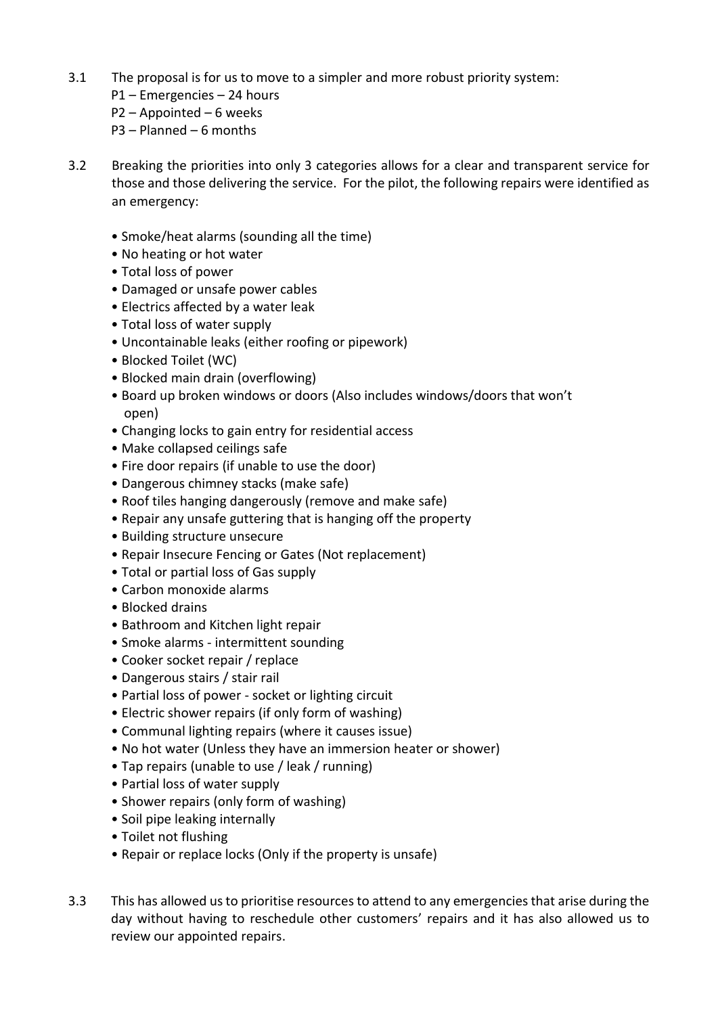- 3.1 The proposal is for us to move to a simpler and more robust priority system:
	- P1 Emergencies 24 hours P2 – Appointed – 6 weeks P3 – Planned – 6 months
- 3.2 Breaking the priorities into only 3 categories allows for a clear and transparent service for those and those delivering the service. For the pilot, the following repairs were identified as an emergency:
	- Smoke/heat alarms (sounding all the time)
	- No heating or hot water
	- Total loss of power
	- Damaged or unsafe power cables
	- Electrics affected by a water leak
	- Total loss of water supply
	- Uncontainable leaks (either roofing or pipework)
	- Blocked Toilet (WC)
	- Blocked main drain (overflowing)
	- Board up broken windows or doors (Also includes windows/doors that won't open)
	- Changing locks to gain entry for residential access
	- Make collapsed ceilings safe
	- Fire door repairs (if unable to use the door)
	- Dangerous chimney stacks (make safe)
	- Roof tiles hanging dangerously (remove and make safe)
	- Repair any unsafe guttering that is hanging off the property
	- Building structure unsecure
	- Repair Insecure Fencing or Gates (Not replacement)
	- Total or partial loss of Gas supply
	- Carbon monoxide alarms
	- Blocked drains
	- Bathroom and Kitchen light repair
	- Smoke alarms intermittent sounding
	- Cooker socket repair / replace
	- Dangerous stairs / stair rail
	- Partial loss of power socket or lighting circuit
	- Electric shower repairs (if only form of washing)
	- Communal lighting repairs (where it causes issue)
	- No hot water (Unless they have an immersion heater or shower)
	- Tap repairs (unable to use / leak / running)
	- Partial loss of water supply
	- Shower repairs (only form of washing)
	- Soil pipe leaking internally
	- Toilet not flushing
	- Repair or replace locks (Only if the property is unsafe)
- 3.3 This has allowed us to prioritise resourcesto attend to any emergencies that arise during the day without having to reschedule other customers' repairs and it has also allowed us to review our appointed repairs.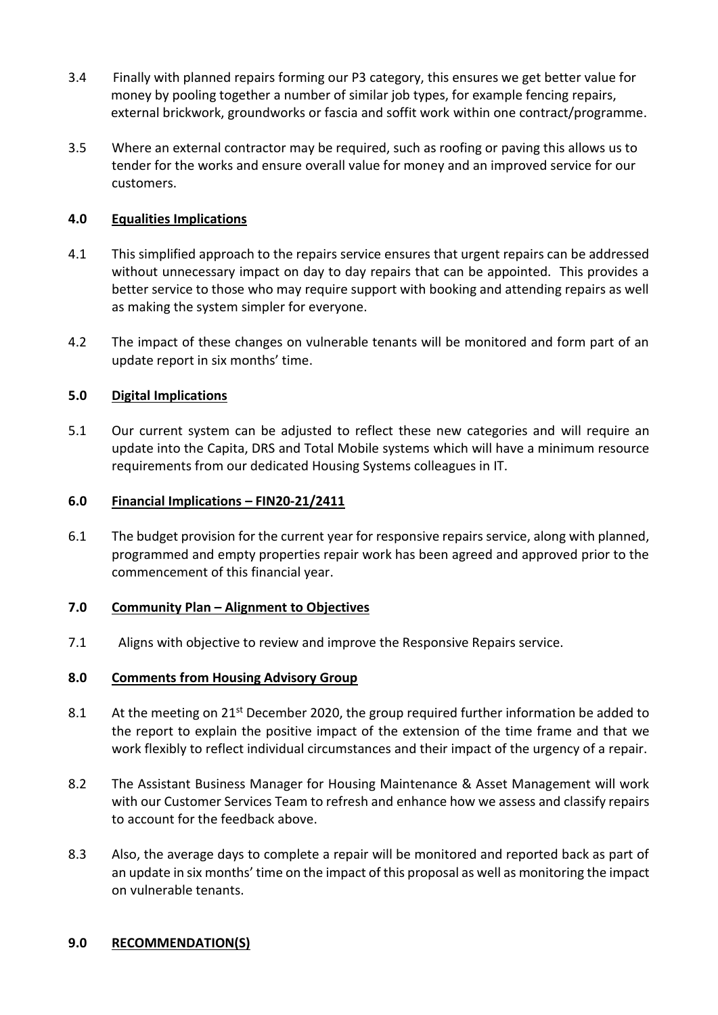- 3.4 Finally with planned repairs forming our P3 category, this ensures we get better value for money by pooling together a number of similar job types, for example fencing repairs, external brickwork, groundworks or fascia and soffit work within one contract/programme.
- 3.5 Where an external contractor may be required, such as roofing or paving this allows us to tender for the works and ensure overall value for money and an improved service for our customers.

## **4.0 Equalities Implications**

- 4.1 This simplified approach to the repairs service ensures that urgent repairs can be addressed without unnecessary impact on day to day repairs that can be appointed. This provides a better service to those who may require support with booking and attending repairs as well as making the system simpler for everyone.
- 4.2 The impact of these changes on vulnerable tenants will be monitored and form part of an update report in six months' time.

## **5.0 Digital Implications**

5.1 Our current system can be adjusted to reflect these new categories and will require an update into the Capita, DRS and Total Mobile systems which will have a minimum resource requirements from our dedicated Housing Systems colleagues in IT.

#### **6.0 Financial Implications – FIN20-21/2411**

6.1 The budget provision for the current year for responsive repairs service, along with planned, programmed and empty properties repair work has been agreed and approved prior to the commencement of this financial year.

#### **7.0 Community Plan – Alignment to Objectives**

7.1 Aligns with objective to review and improve the Responsive Repairs service.

#### **8.0 Comments from Housing Advisory Group**

- 8.1 At the meeting on  $21^{st}$  December 2020, the group required further information be added to the report to explain the positive impact of the extension of the time frame and that we work flexibly to reflect individual circumstances and their impact of the urgency of a repair.
- 8.2 The Assistant Business Manager for Housing Maintenance & Asset Management will work with our Customer Services Team to refresh and enhance how we assess and classify repairs to account for the feedback above.
- 8.3 Also, the average days to complete a repair will be monitored and reported back as part of an update in six months' time on the impact of this proposal as well as monitoring the impact on vulnerable tenants.

#### **9.0 RECOMMENDATION(S)**